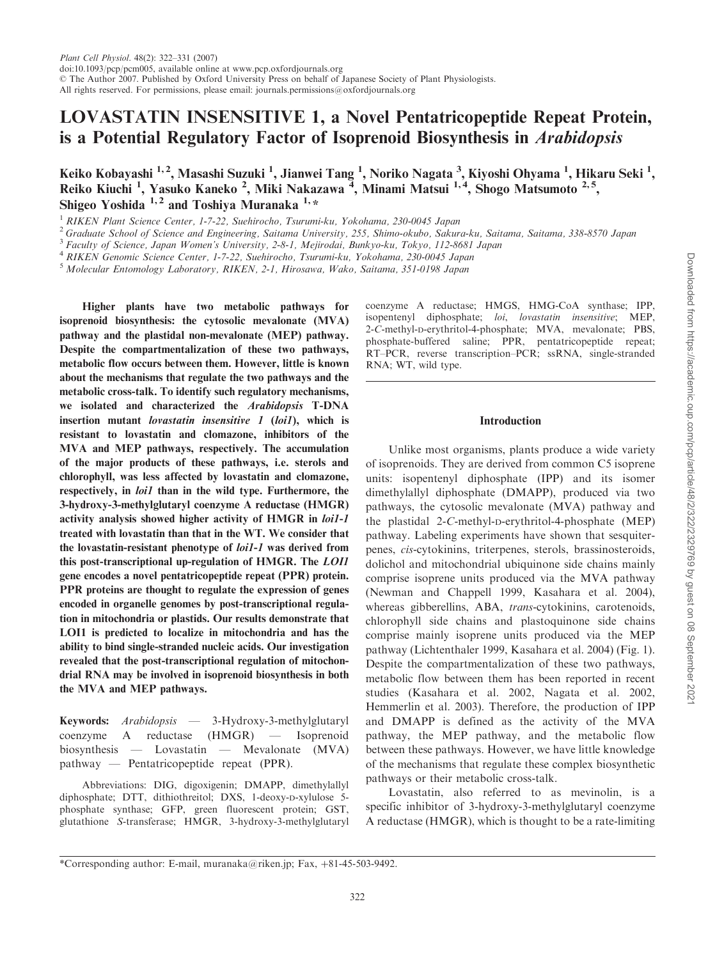# LOVASTATIN INSENSITIVE 1, a Novel Pentatricopeptide Repeat Protein, is a Potential Regulatory Factor of Isoprenoid Biosynthesis in Arabidopsis

Keiko Kobayashi <sup>1, 2</sup>, Masashi Suzuki <sup>1</sup>, Jianwei Tang <sup>1</sup>, Noriko Nagata <sup>3</sup>, Kiyoshi Ohyama <sup>1</sup>, Hikaru Seki <sup>1</sup>, Reiko Kiuchi<sup>1</sup>, Yasuko Kaneko<sup>2</sup>, Miki Nakazawa<sup>7</sup>, Minami Matsui<sup>1,4</sup>, Shogo Matsumoto<sup>2,5</sup>, Shigeo Yoshida  $1, 2$  and Toshiya Muranaka  $1, \ast$ 

<sup>1</sup> RIKEN Plant Science Center, 1-7-22, Suehirocho, Tsurumi-ku, Yokohama, 230-0045 Japan

<sup>2</sup> Graduate School of Science and Engineering, Saitama University, 255, Shimo-okubo, Sakura-ku, Saitama, Saitama, 338-8570 Japan

<sup>3</sup> Faculty of Science, Japan Women's University, 2-8-1, Mejirodai, Bunkyo-ku, Tokyo, 112-8681 Japan

<sup>4</sup> RIKEN Genomic Science Center, 1-7-22, Suehirocho, Tsurumi-ku, Yokohama, 230-0045 Japan

<sup>5</sup> Molecular Entomology Laboratory, RIKEN, 2-1, Hirosawa, Wako, Saitama, 351-0198 Japan

Higher plants have two metabolic pathways for isoprenoid biosynthesis: the cytosolic mevalonate (MVA) pathway and the plastidal non-mevalonate (MEP) pathway. Despite the compartmentalization of these two pathways, metabolic flow occurs between them. However, little is known about the mechanisms that regulate the two pathways and the metabolic cross-talk. To identify such regulatory mechanisms, we isolated and characterized the Arabidopsis T-DNA insertion mutant *lovastatin insensitive 1 (loi1)*, which is resistant to lovastatin and clomazone, inhibitors of the MVA and MEP pathways, respectively. The accumulation of the major products of these pathways, i.e. sterols and chlorophyll, was less affected by lovastatin and clomazone, respectively, in *loi1* than in the wild type. Furthermore, the 3-hydroxy-3-methylglutaryl coenzyme A reductase (HMGR) activity analysis showed higher activity of HMGR in loi1-1 treated with lovastatin than that in the WT. We consider that the lovastatin-resistant phenotype of loi1-1 was derived from this post-transcriptional up-regulation of HMGR. The LOI1 gene encodes a novel pentatricopeptide repeat (PPR) protein. PPR proteins are thought to regulate the expression of genes encoded in organelle genomes by post-transcriptional regulation in mitochondria or plastids. Our results demonstrate that LOI1 is predicted to localize in mitochondria and has the ability to bind single-stranded nucleic acids. Our investigation revealed that the post-transcriptional regulation of mitochondrial RNA may be involved in isoprenoid biosynthesis in both the MVA and MEP pathways.

Keywords: Arabidopsis — 3-Hydroxy-3-methylglutaryl coenzyme A reductase (HMGR) — Isoprenoid biosynthesis — Lovastatin — Mevalonate (MVA) pathway — Pentatricopeptide repeat (PPR).

Abbreviations: DIG, digoxigenin; DMAPP, dimethylallyl diphosphate; DTT, dithiothreitol; DXS, 1-deoxy-D-xylulose 5 phosphate synthase; GFP, green fluorescent protein; GST, glutathione S-transferase; HMGR, 3-hydroxy-3-methylglutaryl coenzyme A reductase; HMGS, HMG-CoA synthase; IPP, isopentenyl diphosphate; loi, lovastatin insensitive; MEP, 2-C-methyl-D-erythritol-4-phosphate; MVA, mevalonate; PBS, phosphate-buffered saline; PPR, pentatricopeptide repeat; RT–PCR, reverse transcription–PCR; ssRNA, single-stranded RNA; WT, wild type.

# Introduction

Unlike most organisms, plants produce a wide variety of isoprenoids. They are derived from common C5 isoprene units: isopentenyl diphosphate (IPP) and its isomer dimethylallyl diphosphate (DMAPP), produced via two pathways, the cytosolic mevalonate (MVA) pathway and the plastidal 2-C-methyl-D-erythritol-4-phosphate (MEP) pathway. Labeling experiments have shown that sesquiterpenes, cis-cytokinins, triterpenes, sterols, brassinosteroids, dolichol and mitochondrial ubiquinone side chains mainly comprise isoprene units produced via the MVA pathway (Newman and Chappell 1999, Kasahara et al. 2004), whereas gibberellins, ABA, trans-cytokinins, carotenoids, chlorophyll side chains and plastoquinone side chains comprise mainly isoprene units produced via the MEP pathway (Lichtenthaler 1999, Kasahara et al. 2004) (Fig. 1). Despite the compartmentalization of these two pathways, metabolic flow between them has been reported in recent studies (Kasahara et al. 2002, Nagata et al. 2002, Hemmerlin et al. 2003). Therefore, the production of IPP and DMAPP is defined as the activity of the MVA pathway, the MEP pathway, and the metabolic flow between these pathways. However, we have little knowledge of the mechanisms that regulate these complex biosynthetic pathways or their metabolic cross-talk.

Lovastatin, also referred to as mevinolin, is a specific inhibitor of 3-hydroxy-3-methylglutaryl coenzyme A reductase (HMGR), which is thought to be a rate-limiting

<sup>\*</sup>Corresponding author: E-mail, muranaka@riken.jp; Fax,  $+81-45-503-9492$ .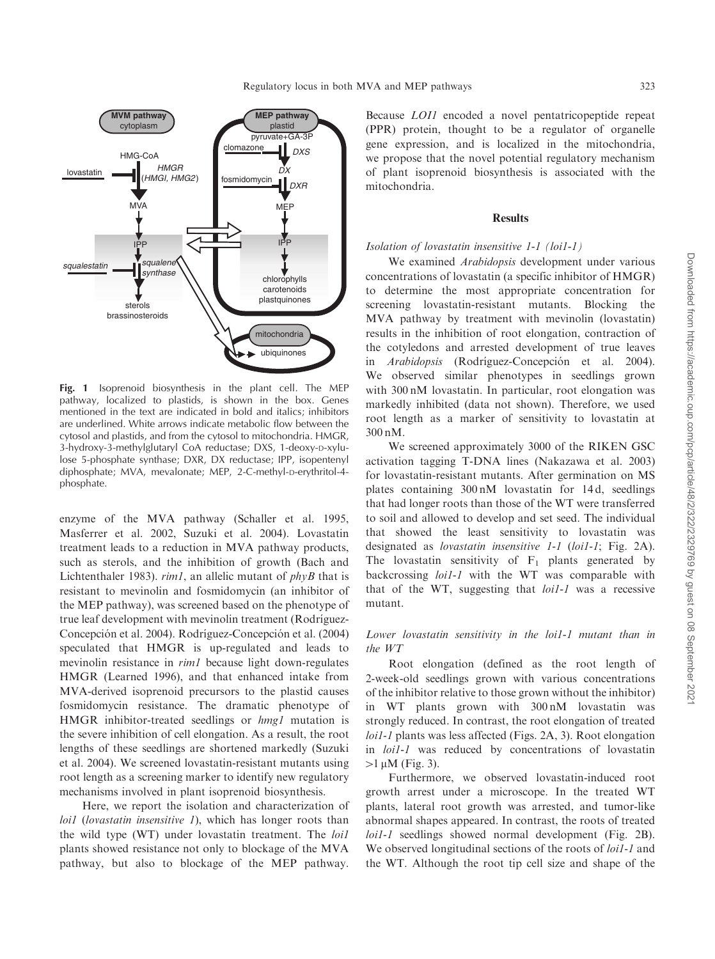

Fig. 1 Isoprenoid biosynthesis in the plant cell. The MEP pathway, localized to plastids, is shown in the box. Genes mentioned in the text are indicated in bold and italics; inhibitors are underlined. White arrows indicate metabolic flow between the cytosol and plastids, and from the cytosol to mitochondria. HMGR, 3-hydroxy-3-methylglutaryl CoA reductase; DXS, 1-deoxy-D-xylulose 5-phosphate synthase; DXR, DX reductase; IPP, isopentenyl diphosphate; MVA, mevalonate; MEP, 2-C-methyl-D-erythritol-4phosphate.

enzyme of the MVA pathway (Schaller et al. 1995, Masferrer et al. 2002, Suzuki et al. 2004). Lovastatin treatment leads to a reduction in MVA pathway products, such as sterols, and the inhibition of growth (Bach and Lichtenthaler 1983). rim1, an allelic mutant of phyB that is resistant to mevinolin and fosmidomycin (an inhibitor of the MEP pathway), was screened based on the phenotype of true leaf development with mevinolin treatment (Rodríguez-Concepción et al. 2004). Rodríguez-Concepción et al. (2004) speculated that HMGR is up-regulated and leads to mevinolin resistance in rim1 because light down-regulates HMGR (Learned 1996), and that enhanced intake from MVA-derived isoprenoid precursors to the plastid causes fosmidomycin resistance. The dramatic phenotype of HMGR inhibitor-treated seedlings or *hmgl* mutation is the severe inhibition of cell elongation. As a result, the root lengths of these seedlings are shortened markedly (Suzuki et al. 2004). We screened lovastatin-resistant mutants using root length as a screening marker to identify new regulatory mechanisms involved in plant isoprenoid biosynthesis.

Here, we report the isolation and characterization of loi1 (lovastatin insensitive 1), which has longer roots than the wild type (WT) under lovastatin treatment. The *loi1* plants showed resistance not only to blockage of the MVA pathway, but also to blockage of the MEP pathway.

Because LOI1 encoded a novel pentatricopeptide repeat (PPR) protein, thought to be a regulator of organelle gene expression, and is localized in the mitochondria, we propose that the novel potential regulatory mechanism of plant isoprenoid biosynthesis is associated with the mitochondria.

# **Results**

## Isolation of lovastatin insensitive 1-1 (loi1-1)

We examined Arabidopsis development under various concentrations of lovastatin (a specific inhibitor of HMGR) to determine the most appropriate concentration for screening lovastatin-resistant mutants. Blocking the MVA pathway by treatment with mevinolin (lovastatin) results in the inhibition of root elongation, contraction of the cotyledons and arrested development of true leaves in Arabidopsis (Rodríguez-Concepción et al. 2004). We observed similar phenotypes in seedlings grown with 300 nM lovastatin. In particular, root elongation was markedly inhibited (data not shown). Therefore, we used root length as a marker of sensitivity to lovastatin at 300 nM.

We screened approximately 3000 of the RIKEN GSC activation tagging T-DNA lines (Nakazawa et al. 2003) for lovastatin-resistant mutants. After germination on MS plates containing 300 nM lovastatin for 14 d, seedlings that had longer roots than those of the WT were transferred to soil and allowed to develop and set seed. The individual that showed the least sensitivity to lovastatin was designated as *lovastatin insensitive 1-1 (loi1-1*; Fig. 2A). The lovastatin sensitivity of  $F_1$  plants generated by backcrossing *loi1-1* with the WT was comparable with that of the WT, suggesting that  $loil-1$  was a recessive mutant.

# Lower lovastatin sensitivity in the loi1-1 mutant than in the WT

Root elongation (defined as the root length of 2-week-old seedlings grown with various concentrations of the inhibitor relative to those grown without the inhibitor) in WT plants grown with 300 nM lovastatin was strongly reduced. In contrast, the root elongation of treated loi1-1 plants was less affected (Figs. 2A, 3). Root elongation in loi1-1 was reduced by concentrations of lovastatin  $>1 \mu M$  (Fig. 3).

Furthermore, we observed lovastatin-induced root growth arrest under a microscope. In the treated WT plants, lateral root growth was arrested, and tumor-like abnormal shapes appeared. In contrast, the roots of treated loi1-1 seedlings showed normal development (Fig. 2B). We observed longitudinal sections of the roots of *loi1-1* and the WT. Although the root tip cell size and shape of the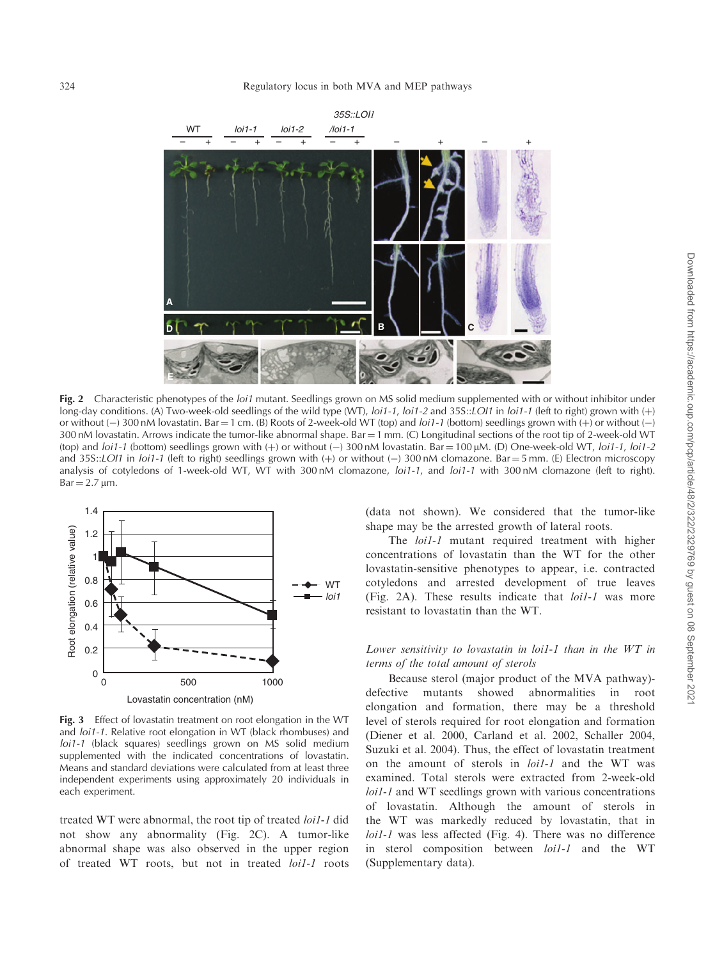

Fig. 2 Characteristic phenotypes of the *loi1* mutant. Seedlings grown on MS solid medium supplemented with or without inhibitor under long-day conditions. (A) Two-week-old seedlings of the wild type (WT), loi1-1, loi1-2 and 35S::LOl1 in loi1-1 (left to right) grown with  $(+)$ or without ( $-$ ) 300 nM lovastatin. Bar = 1 cm. (B) Roots of 2-week-old WT (top) and *loi1-1* (bottom) seedlings grown with (+) or without ( $-$ ) 300 nM lovastatin. Arrows indicate the tumor-like abnormal shape. Bar  $=1$  mm. (C) Longitudinal sections of the root tip of 2-week-old WT (top) and *loi1-1* (bottom) seedlings grown with (+) or without (-) 300 nM lovastatin. Bar = 100  $\mu$ M. (D) One-week-old WT, *loi1-1*, *loi1-2* and 35S::LOI1 in loi1-1 (left to right) seedlings grown with (+) or without (-) 300 nM clomazone. Bar = 5 mm. (E) Electron microscopy analysis of cotyledons of 1-week-old WT, WT with 300 nM clomazone, loi1-1, and loi1-1 with 300 nM clomazone (left to right).  $Bar = 2.7 \,\text{µm}$ .



Fig. 3 Effect of lovastatin treatment on root elongation in the WT and loi1-1. Relative root elongation in WT (black rhombuses) and loi1-1 (black squares) seedlings grown on MS solid medium supplemented with the indicated concentrations of lovastatin. Means and standard deviations were calculated from at least three independent experiments using approximately 20 individuals in each experiment.

treated WT were abnormal, the root tip of treated loi1-1 did not show any abnormality (Fig. 2C). A tumor-like abnormal shape was also observed in the upper region of treated WT roots, but not in treated loi1-1 roots

(data not shown). We considered that the tumor-like shape may be the arrested growth of lateral roots.

The *loi1-1* mutant required treatment with higher concentrations of lovastatin than the WT for the other lovastatin-sensitive phenotypes to appear, i.e. contracted cotyledons and arrested development of true leaves (Fig. 2A). These results indicate that loi1-1 was more resistant to lovastatin than the WT.

# Lower sensitivity to lovastatin in loi1-1 than in the WT in terms of the total amount of sterols

Because sterol (major product of the MVA pathway) defective mutants showed abnormalities in root elongation and formation, there may be a threshold level of sterols required for root elongation and formation (Diener et al. 2000, Carland et al. 2002, Schaller 2004, Suzuki et al. 2004). Thus, the effect of lovastatin treatment on the amount of sterols in loi1-1 and the WT was examined. Total sterols were extracted from 2-week-old loi1-1 and WT seedlings grown with various concentrations of lovastatin. Although the amount of sterols in the WT was markedly reduced by lovastatin, that in loi1-1 was less affected (Fig. 4). There was no difference in sterol composition between loi1-1 and the WT (Supplementary data).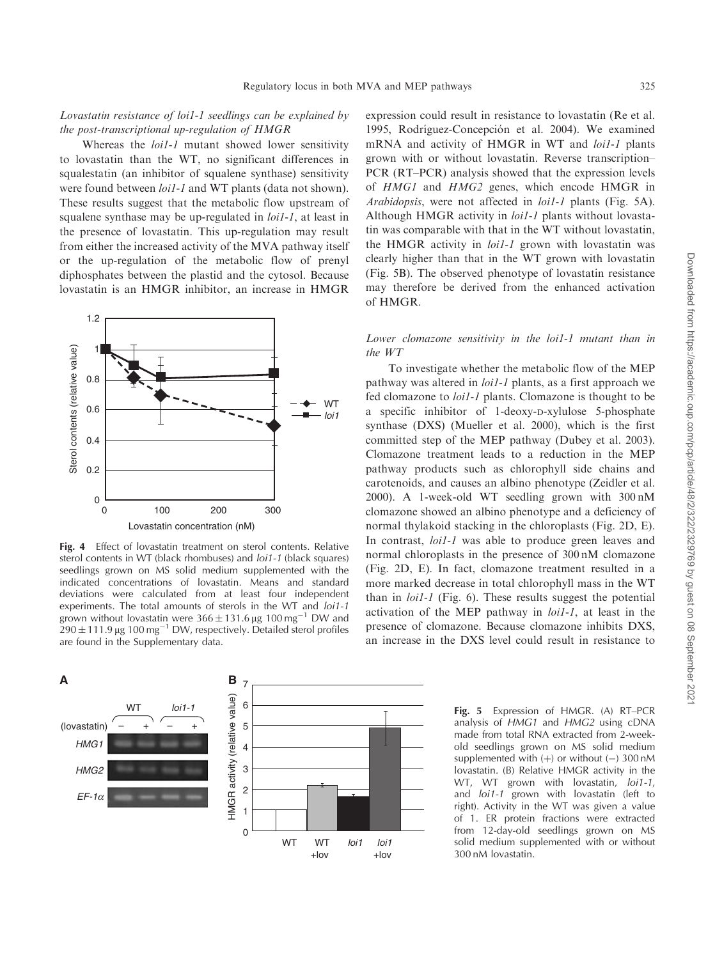# Lovastatin resistance of loi1-1 seedlings can be explained by the post-transcriptional up-regulation of HMGR

Whereas the *loi1-1* mutant showed lower sensitivity to lovastatin than the WT, no significant differences in squalestatin (an inhibitor of squalene synthase) sensitivity were found between *loi1-1* and WT plants (data not shown). These results suggest that the metabolic flow upstream of squalene synthase may be up-regulated in *loi1-1*, at least in the presence of lovastatin. This up-regulation may result from either the increased activity of the MVA pathway itself or the up-regulation of the metabolic flow of prenyl diphosphates between the plastid and the cytosol. Because lovastatin is an HMGR inhibitor, an increase in HMGR



Fig. 4 Effect of lovastatin treatment on sterol contents. Relative sterol contents in WT (black rhombuses) and loi1-1 (black squares) seedlings grown on MS solid medium supplemented with the indicated concentrations of lovastatin. Means and standard deviations were calculated from at least four independent experiments. The total amounts of sterols in the WT and loi1-1 grown without lovastatin were  $366 \pm 131.6$  µg  $100$  mg<sup>-1</sup> DW and  $290 \pm 111.9$  µg 100 mg<sup>-1</sup> DW, respectively. Detailed sterol profiles are found in the Supplementary data.



expression could result in resistance to lovastatin (Re et al. 1995, Rodríguez-Concepción et al. 2004). We examined mRNA and activity of HMGR in WT and loi1-1 plants grown with or without lovastatin. Reverse transcription– PCR (RT–PCR) analysis showed that the expression levels of HMG1 and HMG2 genes, which encode HMGR in Arabidopsis, were not affected in *loi1-1* plants (Fig. 5A). Although HMGR activity in *loi1-1* plants without lovastatin was comparable with that in the WT without lovastatin, the HMGR activity in *loi1-1* grown with lovastatin was clearly higher than that in the WT grown with lovastatin (Fig. 5B). The observed phenotype of lovastatin resistance may therefore be derived from the enhanced activation of HMGR.

# Lower clomazone sensitivity in the loi1-1 mutant than in the WT

To investigate whether the metabolic flow of the MEP pathway was altered in loi1-1 plants, as a first approach we fed clomazone to loi1-1 plants. Clomazone is thought to be a specific inhibitor of 1-deoxy-D-xylulose 5-phosphate synthase (DXS) (Mueller et al. 2000), which is the first committed step of the MEP pathway (Dubey et al. 2003). Clomazone treatment leads to a reduction in the MEP pathway products such as chlorophyll side chains and carotenoids, and causes an albino phenotype (Zeidler et al. 2000). A 1-week-old WT seedling grown with 300 nM clomazone showed an albino phenotype and a deficiency of normal thylakoid stacking in the chloroplasts (Fig. 2D, E). In contrast, *loi1-1* was able to produce green leaves and normal chloroplasts in the presence of 300 nM clomazone (Fig. 2D, E). In fact, clomazone treatment resulted in a more marked decrease in total chlorophyll mass in the WT than in loi1-1 (Fig. 6). These results suggest the potential activation of the MEP pathway in loi1-1, at least in the presence of clomazone. Because clomazone inhibits DXS, an increase in the DXS level could result in resistance to

> Fig. 5 Expression of HMGR. (A) RT–PCR analysis of HMG1 and HMG2 using cDNA made from total RNA extracted from 2-weekold seedlings grown on MS solid medium supplemented with  $(+)$  or without  $(-)$  300 nM lovastatin. (B) Relative HMGR activity in the WT, WT grown with lovastatin, loi1-1, and loi1-1 grown with lovastatin (left to right). Activity in the WT was given a value of 1. ER protein fractions were extracted from 12-day-old seedlings grown on MS solid medium supplemented with or without 300 nM lovastatin.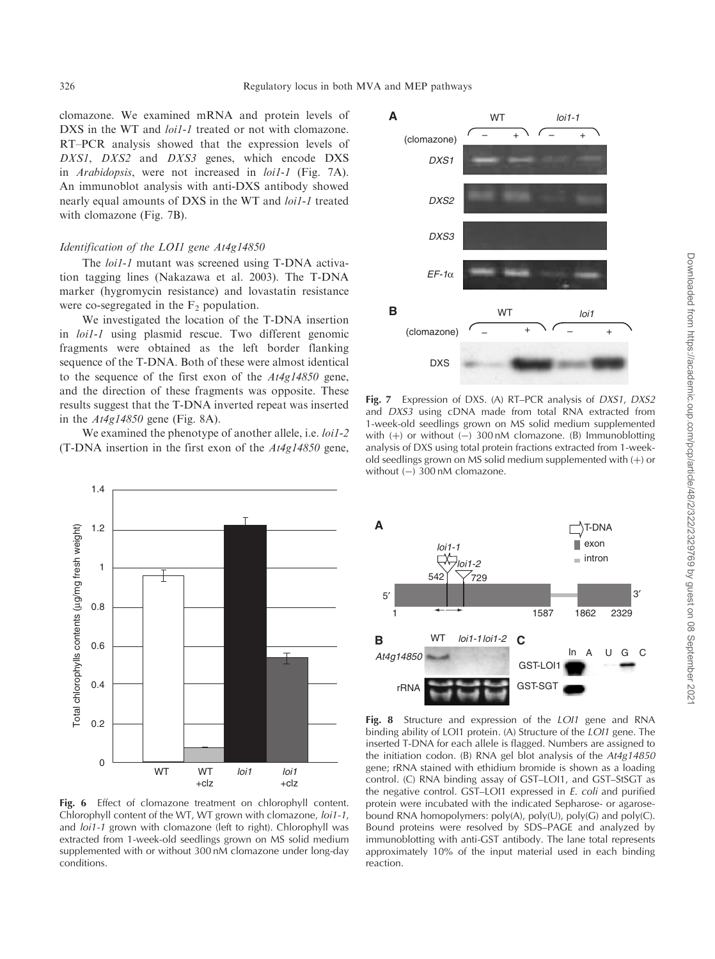clomazone. We examined mRNA and protein levels of DXS in the WT and *loi1-1* treated or not with clomazone. RT–PCR analysis showed that the expression levels of DXS1, DXS2 and DXS3 genes, which encode DXS in Arabidopsis, were not increased in loi1-1 (Fig. 7A). An immunoblot analysis with anti-DXS antibody showed nearly equal amounts of DXS in the WT and loi1-1 treated with clomazone (Fig. 7B).

### Identification of the LOI1 gene At4g14850

The *loi1-1* mutant was screened using T-DNA activation tagging lines (Nakazawa et al. 2003). The T-DNA marker (hygromycin resistance) and lovastatin resistance were co-segregated in the  $F_2$  population.

We investigated the location of the T-DNA insertion in loi1-1 using plasmid rescue. Two different genomic fragments were obtained as the left border flanking sequence of the T-DNA. Both of these were almost identical to the sequence of the first exon of the  $At4g14850$  gene, and the direction of these fragments was opposite. These results suggest that the T-DNA inverted repeat was inserted in the  $At4g14850$  gene (Fig. 8A).

We examined the phenotype of another allele, i.e. *loi1-2* (T-DNA insertion in the first exon of the  $At4g14850$  gene,



Fig. 6 Effect of clomazone treatment on chlorophyll content. Chlorophyll content of the WT, WT grown with clomazone, loi1-1, and *loi1-1* grown with clomazone (left to right). Chlorophyll was extracted from 1-week-old seedlings grown on MS solid medium supplemented with or without 300 nM clomazone under long-day conditions.



Fig. 7 Expression of DXS. (A) RT–PCR analysis of *DXS1*, *DXS2* and DXS3 using cDNA made from total RNA extracted from 1-week-old seedlings grown on MS solid medium supplemented with  $(+)$  or without  $(-)$  300 nM clomazone. (B) Immunoblotting analysis of DXS using total protein fractions extracted from 1-weekold seedlings grown on MS solid medium supplemented with  $(+)$  or without  $(-)$  300 nM clomazone.



Fig. 8 Structure and expression of the LOI1 gene and RNA binding ability of LOI1 protein. (A) Structure of the LOI1 gene. The inserted T-DNA for each allele is flagged. Numbers are assigned to the initiation codon. (B) RNA gel blot analysis of the At4g14850 gene; rRNA stained with ethidium bromide is shown as a loading control. (C) RNA binding assay of GST–LOI1, and GST–StSGT as the negative control. GST–LOI1 expressed in E. coli and purified protein were incubated with the indicated Sepharose- or agarosebound RNA homopolymers: poly(A), poly(U), poly(G) and poly(C). Bound proteins were resolved by SDS–PAGE and analyzed by immunoblotting with anti-GST antibody. The lane total represents approximately 10% of the input material used in each binding reaction.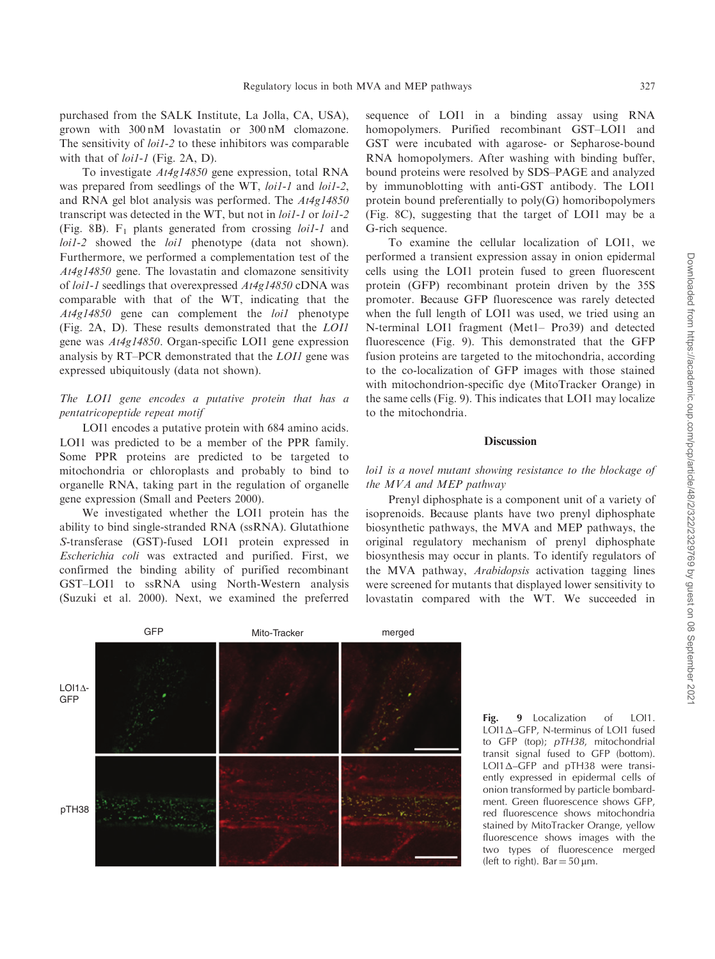purchased from the SALK Institute, La Jolla, CA, USA), grown with 300 nM lovastatin or 300 nM clomazone. The sensitivity of *loi1-2* to these inhibitors was comparable with that of *loi1-1* (Fig. 2A, D).

To investigate At4g14850 gene expression, total RNA was prepared from seedlings of the WT, *loi1-1* and *loi1-2*, and RNA gel blot analysis was performed. The At4g14850 transcript was detected in the WT, but not in loi1-1 or loi1-2 (Fig. 8B).  $F_1$  plants generated from crossing *loi1-1* and loi1-2 showed the *loi1* phenotype (data not shown). Furthermore, we performed a complementation test of the At4g14850 gene. The lovastatin and clomazone sensitivity of loi1-1 seedlings that overexpressed At4g14850 cDNA was comparable with that of the WT, indicating that the At4g14850 gene can complement the loi1 phenotype (Fig. 2A, D). These results demonstrated that the LOI1 gene was At4g14850. Organ-specific LOI1 gene expression analysis by RT–PCR demonstrated that the LOI1 gene was expressed ubiquitously (data not shown).

# The LOI1 gene encodes a putative protein that has a pentatricopeptide repeat motif

LOI1 encodes a putative protein with 684 amino acids. LOI1 was predicted to be a member of the PPR family. Some PPR proteins are predicted to be targeted to mitochondria or chloroplasts and probably to bind to organelle RNA, taking part in the regulation of organelle gene expression (Small and Peeters 2000).

We investigated whether the LOI1 protein has the ability to bind single-stranded RNA (ssRNA). Glutathione S-transferase (GST)-fused LOI1 protein expressed in Escherichia coli was extracted and purified. First, we confirmed the binding ability of purified recombinant GST–LOI1 to ssRNA using North-Western analysis (Suzuki et al. 2000). Next, we examined the preferred

sequence of LOI1 in a binding assay using RNA homopolymers. Purified recombinant GST–LOI1 and GST were incubated with agarose- or Sepharose-bound RNA homopolymers. After washing with binding buffer, bound proteins were resolved by SDS–PAGE and analyzed by immunoblotting with anti-GST antibody. The LOI1 protein bound preferentially to poly(G) homoribopolymers (Fig. 8C), suggesting that the target of LOI1 may be a G-rich sequence.

To examine the cellular localization of LOI1, we performed a transient expression assay in onion epidermal cells using the LOI1 protein fused to green fluorescent protein (GFP) recombinant protein driven by the 35S promoter. Because GFP fluorescence was rarely detected when the full length of LOI1 was used, we tried using an N-terminal LOI1 fragment (Met1– Pro39) and detected fluorescence (Fig. 9). This demonstrated that the GFP fusion proteins are targeted to the mitochondria, according to the co-localization of GFP images with those stained with mitochondrion-specific dye (MitoTracker Orange) in the same cells (Fig. 9). This indicates that LOI1 may localize to the mitochondria.

# **Discussion**

# loi1 is a novel mutant showing resistance to the blockage of the MVA and MEP pathway

Prenyl diphosphate is a component unit of a variety of isoprenoids. Because plants have two prenyl diphosphate biosynthetic pathways, the MVA and MEP pathways, the original regulatory mechanism of prenyl diphosphate biosynthesis may occur in plants. To identify regulators of the MVA pathway, Arabidopsis activation tagging lines were screened for mutants that displayed lower sensitivity to lovastatin compared with the WT. We succeeded in



Fig. 9 Localization of LOI1. LOI1<sub>△</sub>–GFP, N-terminus of LOI1 fused to GFP (top); pTH38, mitochondrial transit signal fused to GFP (bottom). LOI1 $\triangle$ –GFP and pTH38 were transiently expressed in epidermal cells of onion transformed by particle bombardment. Green fluorescence shows GFP, red fluorescence shows mitochondria stained by MitoTracker Orange, yellow fluorescence shows images with the two types of fluorescence merged (left to right). Bar  $=$  50  $\mu$ m.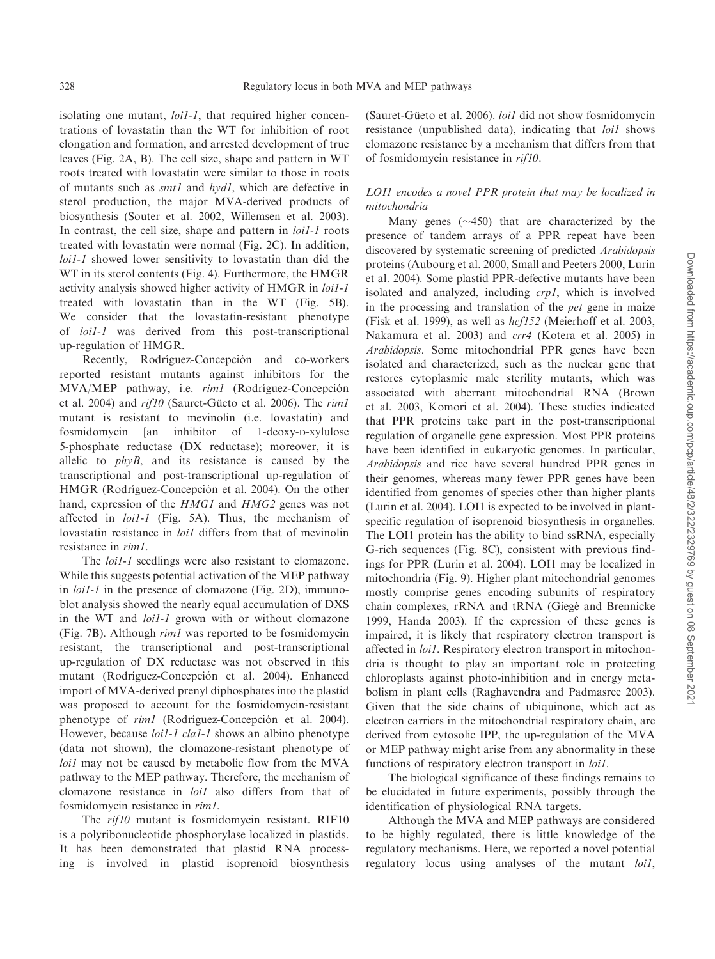isolating one mutant, *loi1-1*, that required higher concentrations of lovastatin than the WT for inhibition of root elongation and formation, and arrested development of true leaves (Fig. 2A, B). The cell size, shape and pattern in WT roots treated with lovastatin were similar to those in roots of mutants such as smt1 and hyd1, which are defective in sterol production, the major MVA-derived products of biosynthesis (Souter et al. 2002, Willemsen et al. 2003). In contrast, the cell size, shape and pattern in *loi1-1* roots treated with lovastatin were normal (Fig. 2C). In addition, loi1-1 showed lower sensitivity to lovastatin than did the WT in its sterol contents (Fig. 4). Furthermore, the HMGR activity analysis showed higher activity of HMGR in loi1-1 treated with lovastatin than in the WT (Fig. 5B). We consider that the lovastatin-resistant phenotype of loi1-1 was derived from this post-transcriptional up-regulation of HMGR.

Recently, Rodríguez-Concepción and co-workers reported resistant mutants against inhibitors for the MVA/MEP pathway, i.e. *rim1* (Rodríguez-Concepción et al. 2004) and  $rif10$  (Sauret-Güeto et al. 2006). The  $rim1$ mutant is resistant to mevinolin (i.e. lovastatin) and fosmidomycin [an inhibitor of 1-deoxy-D-xylulose 5-phosphate reductase (DX reductase); moreover, it is allelic to  $phvB$ , and its resistance is caused by the transcriptional and post-transcriptional up-regulation of HMGR (Rodríguez-Concepción et al. 2004). On the other hand, expression of the *HMG1* and *HMG2* genes was not affected in loi1-1 (Fig. 5A). Thus, the mechanism of lovastatin resistance in *loi1* differs from that of mevinolin resistance in rim1.

The *loi1-1* seedlings were also resistant to clomazone. While this suggests potential activation of the MEP pathway in *loi1-1* in the presence of clomazone (Fig. 2D), immunoblot analysis showed the nearly equal accumulation of DXS in the WT and *loi1-1* grown with or without clomazone (Fig. 7B). Although rim1 was reported to be fosmidomycin resistant, the transcriptional and post-transcriptional up-regulation of DX reductase was not observed in this mutant (Rodríguez-Concepción et al. 2004). Enhanced import of MVA-derived prenyl diphosphates into the plastid was proposed to account for the fosmidomycin-resistant phenotype of *rim1* (Rodríguez-Concepción et al. 2004). However, because *loi1-1 cla1-1* shows an albino phenotype (data not shown), the clomazone-resistant phenotype of loi1 may not be caused by metabolic flow from the MVA pathway to the MEP pathway. Therefore, the mechanism of clomazone resistance in loi1 also differs from that of fosmidomycin resistance in rim1.

The rif10 mutant is fosmidomycin resistant. RIF10 is a polyribonucleotide phosphorylase localized in plastids. It has been demonstrated that plastid RNA processing is involved in plastid isoprenoid biosynthesis

(Sauret-Güeto et al. 2006). loi1 did not show fosmidomycin resistance (unpublished data), indicating that loi1 shows clomazone resistance by a mechanism that differs from that of fosmidomycin resistance in rif10.

# LOI1 encodes a novel PPR protein that may be localized in mitochondria

Many genes  $(\sim 450)$  that are characterized by the presence of tandem arrays of a PPR repeat have been discovered by systematic screening of predicted Arabidopsis proteins (Aubourg et al. 2000, Small and Peeters 2000, Lurin et al. 2004). Some plastid PPR-defective mutants have been isolated and analyzed, including crp1, which is involved in the processing and translation of the pet gene in maize (Fisk et al. 1999), as well as hcf152 (Meierhoff et al. 2003, Nakamura et al. 2003) and crr4 (Kotera et al. 2005) in Arabidopsis. Some mitochondrial PPR genes have been isolated and characterized, such as the nuclear gene that restores cytoplasmic male sterility mutants, which was associated with aberrant mitochondrial RNA (Brown et al. 2003, Komori et al. 2004). These studies indicated that PPR proteins take part in the post-transcriptional regulation of organelle gene expression. Most PPR proteins have been identified in eukaryotic genomes. In particular, Arabidopsis and rice have several hundred PPR genes in their genomes, whereas many fewer PPR genes have been identified from genomes of species other than higher plants (Lurin et al. 2004). LOI1 is expected to be involved in plantspecific regulation of isoprenoid biosynthesis in organelles. The LOI1 protein has the ability to bind ssRNA, especially G-rich sequences (Fig. 8C), consistent with previous findings for PPR (Lurin et al. 2004). LOI1 may be localized in mitochondria (Fig. 9). Higher plant mitochondrial genomes mostly comprise genes encoding subunits of respiratory chain complexes, rRNA and tRNA (Giegé and Brennicke 1999, Handa 2003). If the expression of these genes is impaired, it is likely that respiratory electron transport is affected in loi1. Respiratory electron transport in mitochondria is thought to play an important role in protecting chloroplasts against photo-inhibition and in energy metabolism in plant cells (Raghavendra and Padmasree 2003). Given that the side chains of ubiquinone, which act as electron carriers in the mitochondrial respiratory chain, are derived from cytosolic IPP, the up-regulation of the MVA or MEP pathway might arise from any abnormality in these functions of respiratory electron transport in *loi1*.

The biological significance of these findings remains to be elucidated in future experiments, possibly through the identification of physiological RNA targets.

Although the MVA and MEP pathways are considered to be highly regulated, there is little knowledge of the regulatory mechanisms. Here, we reported a novel potential regulatory locus using analyses of the mutant *loil*,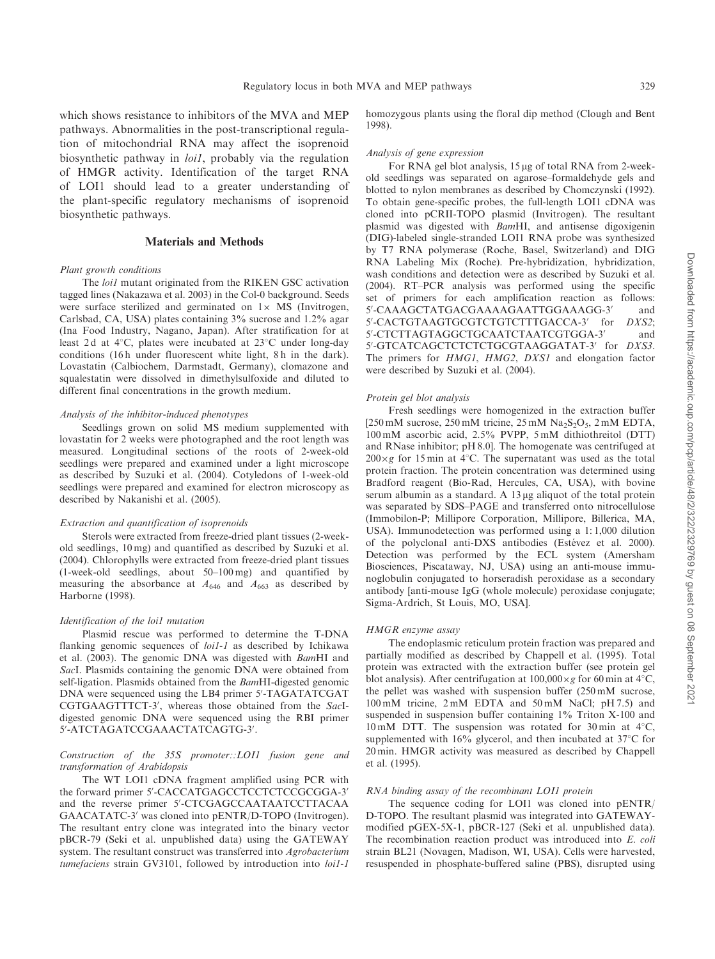which shows resistance to inhibitors of the MVA and MEP pathways. Abnormalities in the post-transcriptional regulation of mitochondrial RNA may affect the isoprenoid biosynthetic pathway in loi1, probably via the regulation of HMGR activity. Identification of the target RNA of LOI1 should lead to a greater understanding of the plant-specific regulatory mechanisms of isoprenoid biosynthetic pathways.

# Materials and Methods

#### Plant growth conditions

The *loi1* mutant originated from the RIKEN GSC activation tagged lines (Nakazawa et al. 2003) in the Col-0 background. Seeds were surface sterilized and germinated on  $1 \times MS$  (Invitrogen, Carlsbad, CA, USA) plates containing 3% sucrose and 1.2% agar (Ina Food Industry, Nagano, Japan). After stratification for at least 2d at 4°C, plates were incubated at 23°C under long-day conditions (16h under fluorescent white light, 8h in the dark). Lovastatin (Calbiochem, Darmstadt, Germany), clomazone and squalestatin were dissolved in dimethylsulfoxide and diluted to different final concentrations in the growth medium.

### Analysis of the inhibitor-induced phenotypes

Seedlings grown on solid MS medium supplemented with lovastatin for 2 weeks were photographed and the root length was measured. Longitudinal sections of the roots of 2-week-old seedlings were prepared and examined under a light microscope as described by Suzuki et al. (2004). Cotyledons of 1-week-old seedlings were prepared and examined for electron microscopy as described by Nakanishi et al. (2005).

#### Extraction and quantification of isoprenoids

Sterols were extracted from freeze-dried plant tissues (2-weekold seedlings, 10 mg) and quantified as described by Suzuki et al. (2004). Chlorophylls were extracted from freeze-dried plant tissues (1-week-old seedlings, about 50–100 mg) and quantified by measuring the absorbance at  $A_{646}$  and  $A_{663}$  as described by Harborne (1998).

## Identification of the loi1 mutation

Plasmid rescue was performed to determine the T-DNA flanking genomic sequences of *loi1-1* as described by Ichikawa et al. (2003). The genomic DNA was digested with BamHI and SacI. Plasmids containing the genomic DNA were obtained from self-ligation. Plasmids obtained from the *BamHI*-digested genomic DNA were sequenced using the LB4 primer 5'-TAGATATCGAT CGTGAAGTTTCT-3', whereas those obtained from the SacIdigested genomic DNA were sequenced using the RBI primer 5'-ATCTAGATCCGAAACTATCAGTG-3'.

### Construction of the 35S promoter::LOI1 fusion gene and transformation of Arabidopsis

The WT LOI1 cDNA fragment amplified using PCR with the forward primer 5'-CACCATGAGCCTCCTCTCCGCGGA-3' and the reverse primer 5'-CTCGAGCCAATAATCCTTACAA GAACATATC-3' was cloned into pENTR/D-TOPO (Invitrogen). The resultant entry clone was integrated into the binary vector pBCR-79 (Seki et al. unpublished data) using the GATEWAY system. The resultant construct was transferred into Agrobacterium tumefaciens strain GV3101, followed by introduction into loi1-1 homozygous plants using the floral dip method (Clough and Bent 1998).

#### Analysis of gene expression

For RNA gel blot analysis,  $15 \mu$ g of total RNA from 2-weekold seedlings was separated on agarose–formaldehyde gels and blotted to nylon membranes as described by Chomczynski (1992). To obtain gene-specific probes, the full-length LOI1 cDNA was cloned into pCRII-TOPO plasmid (Invitrogen). The resultant plasmid was digested with BamHI, and antisense digoxigenin (DIG)-labeled single-stranded LOI1 RNA probe was synthesized by T7 RNA polymerase (Roche, Basel, Switzerland) and DIG RNA Labeling Mix (Roche). Pre-hybridization, hybridization, wash conditions and detection were as described by Suzuki et al. (2004). RT–PCR analysis was performed using the specific set of primers for each amplification reaction as follows: 5'-CAAAGCTATGACGAAAAGAATTGGAAAGG-3' and 5'-CACTGTAAGTGCGTCTGTCTTTGACCA-3' for DXS2; 5'-CTCTTAGTAGGCTGCAATCTAATCGTGGA-3' and 5'-GTCATCAGCTCTCTCTGCGTAAGGATAT-3' for DXS3. The primers for HMG1, HMG2, DXS1 and elongation factor were described by Suzuki et al. (2004).

#### Protein gel blot analysis

Fresh seedlings were homogenized in the extraction buffer  $[250 \text{ mM}$  sucrose,  $250 \text{ mM}$  tricine,  $25 \text{ mM}$   $\text{Na}_2\text{S}_2\text{O}_5$ ,  $2 \text{ mM}$  EDTA, 100 mM ascorbic acid, 2.5% PVPP, 5 mM dithiothreitol (DTT) and RNase inhibitor; pH 8.0]. The homogenate was centrifuged at  $200 \times g$  for 15 min at 4°C. The supernatant was used as the total protein fraction. The protein concentration was determined using Bradford reagent (Bio-Rad, Hercules, CA, USA), with bovine serum albumin as a standard. A 13 µg aliquot of the total protein was separated by SDS–PAGE and transferred onto nitrocellulose (Immobilon-P; Millipore Corporation, Millipore, Billerica, MA, USA). Immunodetection was performed using a 1: 1,000 dilution of the polyclonal anti-DXS antibodies (Estévez et al. 2000). Detection was performed by the ECL system (Amersham Biosciences, Piscataway, NJ, USA) using an anti-mouse immunoglobulin conjugated to horseradish peroxidase as a secondary antibody [anti-mouse IgG (whole molecule) peroxidase conjugate; Sigma-Ardrich, St Louis, MO, USA].

#### HMGR enzyme assay

The endoplasmic reticulum protein fraction was prepared and partially modified as described by Chappell et al. (1995). Total protein was extracted with the extraction buffer (see protein gel blot analysis). After centrifugation at  $100,000 \times g$  for 60 min at 4°C, the pellet was washed with suspension buffer (250 mM sucrose, 100 mM tricine, 2 mM EDTA and 50 mM NaCl; pH 7.5) and suspended in suspension buffer containing 1% Triton X-100 and 10 mM DTT. The suspension was rotated for 30 min at  $4^{\circ}$ C, supplemented with  $16\%$  glycerol, and then incubated at  $37^{\circ}$ C for 20 min. HMGR activity was measured as described by Chappell et al. (1995).

#### RNA binding assay of the recombinant LOI1 protein

The sequence coding for LOI1 was cloned into pENTR/ D-TOPO. The resultant plasmid was integrated into GATEWAYmodified pGEX-5X-1, pBCR-127 (Seki et al. unpublished data). The recombination reaction product was introduced into E. coli strain BL21 (Novagen, Madison, WI, USA). Cells were harvested, resuspended in phosphate-buffered saline (PBS), disrupted using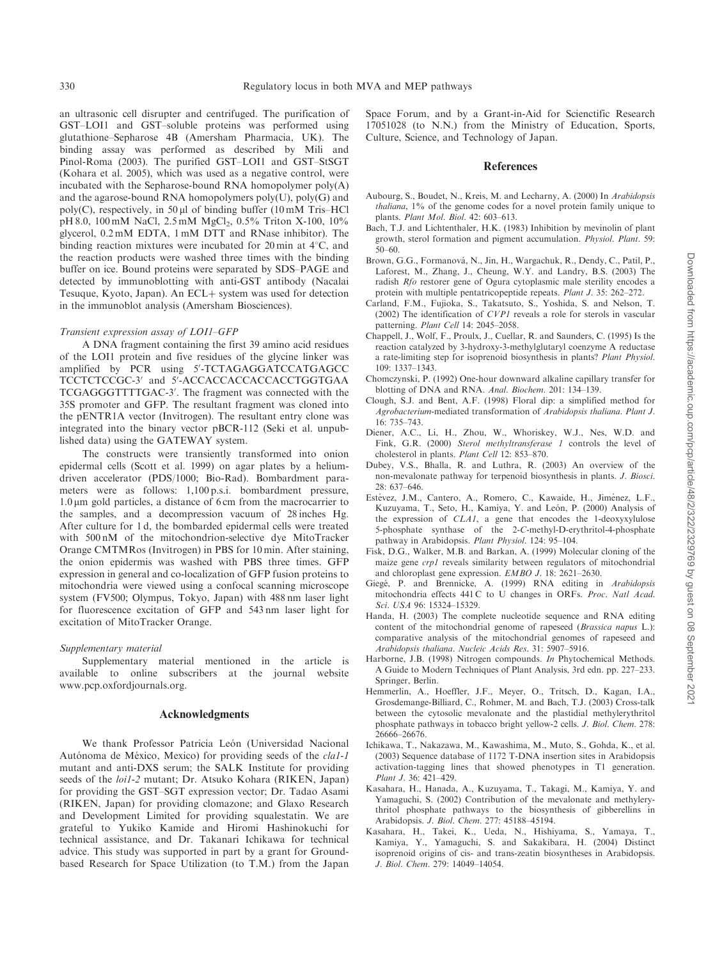an ultrasonic cell disrupter and centrifuged. The purification of GST–LOI1 and GST–soluble proteins was performed using glutathione–Sepharose 4B (Amersham Pharmacia, UK). The binding assay was performed as described by Mili and Pinol-Roma (2003). The purified GST–LOI1 and GST–StSGT (Kohara et al. 2005), which was used as a negative control, were incubated with the Sepharose-bound RNA homopolymer poly(A) and the agarose-bound RNA homopolymers  $poly(U)$ ,  $poly(G)$  and poly(C), respectively, in 50  $\mu$ l of binding buffer (10 mM Tris–HCl pH 8.0, 100 mM NaCl, 2.5 mM MgCl<sub>2</sub>, 0.5% Triton X-100, 10% glycerol, 0.2 mM EDTA, 1 mM DTT and RNase inhibitor). The binding reaction mixtures were incubated for 20 min at  $4^{\circ}$ C, and the reaction products were washed three times with the binding buffer on ice. Bound proteins were separated by SDS–PAGE and detected by immunoblotting with anti-GST antibody (Nacalai Tesuque, Kyoto, Japan). An ECL+ system was used for detection in the immunoblot analysis (Amersham Biosciences).

#### Transient expression assay of LOI1–GFP

A DNA fragment containing the first 39 amino acid residues of the LOI1 protein and five residues of the glycine linker was amplified by PCR using 5'-TCTAGAGGATCCATGAGCC TCCTCTCCGC-3' and 5'-ACCACCACCACCACCTGGTGAA TCGAGGGTTTTGAC-3'. The fragment was connected with the 35S promoter and GFP. The resultant fragment was cloned into the pENTR1A vector (Invitrogen). The resultant entry clone was integrated into the binary vector pBCR-112 (Seki et al. unpublished data) using the GATEWAY system.

The constructs were transiently transformed into onion epidermal cells (Scott et al. 1999) on agar plates by a heliumdriven accelerator (PDS/1000; Bio-Rad). Bombardment parameters were as follows: 1,100 p.s.i. bombardment pressure, 1.0 mm gold particles, a distance of 6 cm from the macrocarrier to the samples, and a decompression vacuum of 28 inches Hg. After culture for 1 d, the bombarded epidermal cells were treated with 500 nM of the mitochondrion-selective dye MitoTracker Orange CMTMRos (Invitrogen) in PBS for 10 min. After staining, the onion epidermis was washed with PBS three times. GFP expression in general and co-localization of GFP fusion proteins to mitochondria were viewed using a confocal scanning microscope system (FV500; Olympus, Tokyo, Japan) with 488 nm laser light for fluorescence excitation of GFP and 543 nm laser light for excitation of MitoTracker Orange.

### Supplementary material

Supplementary material mentioned in the article is available to online subscribers at the journal website www.pcp.oxfordjournals.org.

### Acknowledgments

We thank Professor Patricia León (Universidad Nacional Autónoma de México, Mexico) for providing seeds of the cla1-1 mutant and anti-DXS serum; the SALK Institute for providing seeds of the loi1-2 mutant; Dr. Atsuko Kohara (RIKEN, Japan) for providing the GST–SGT expression vector; Dr. Tadao Asami (RIKEN, Japan) for providing clomazone; and Glaxo Research and Development Limited for providing squalestatin. We are grateful to Yukiko Kamide and Hiromi Hashinokuchi for technical assistance, and Dr. Takanari Ichikawa for technical advice. This study was supported in part by a grant for Groundbased Research for Space Utilization (to T.M.) from the Japan Space Forum, and by a Grant-in-Aid for Scienctific Research 17051028 (to N.N.) from the Ministry of Education, Sports, Culture, Science, and Technology of Japan.

## References

- Aubourg, S., Boudet, N., Kreis, M. and Lecharny, A. (2000) In Arabidopsis thaliana, 1% of the genome codes for a novel protein family unique to plants. Plant Mol. Biol. 42: 603–613.
- Bach, T.J. and Lichtenthaler, H.K. (1983) Inhibition by mevinolin of plant growth, sterol formation and pigment accumulation. Physiol. Plant. 59: 50–60.
- Brown, G.G., Formanová, N., Jin, H., Wargachuk, R., Dendy, C., Patil, P., Laforest, M., Zhang, J., Cheung, W.Y. and Landry, B.S. (2003) The radish Rfo restorer gene of Ogura cytoplasmic male sterility encodes a protein with multiple pentatricopeptide repeats. Plant J. 35: 262–272.
- Carland, F.M., Fujioka, S., Takatsuto, S., Yoshida, S. and Nelson, T. (2002) The identification of CVP1 reveals a role for sterols in vascular patterning. Plant Cell 14: 2045–2058.
- Chappell, J., Wolf, F., Proulx, J., Cuellar, R. and Saunders, C. (1995) Is the reaction catalyzed by 3-hydroxy-3-methylglutaryl coenzyme A reductase a rate-limiting step for isoprenoid biosynthesis in plants? Plant Physiol. 109: 1337–1343.
- Chomczynski, P. (1992) One-hour downward alkaline capillary transfer for blotting of DNA and RNA. Anal. Biochem. 201: 134–139.
- Clough, S.J. and Bent, A.F. (1998) Floral dip: a simplified method for Agrobacterium-mediated transformation of Arabidopsis thaliana. Plant J. 16: 735–743.
- Diener, A.C., Li, H., Zhou, W., Whoriskey, W.J., Nes, W.D. and Fink, G.R. (2000) Sterol methyltransferase 1 controls the level of cholesterol in plants. Plant Cell 12: 853–870.
- Dubey, V.S., Bhalla, R. and Luthra, R. (2003) An overview of the non-mevalonate pathway for terpenoid biosynthesis in plants. J. Biosci. 28: 637–646.
- Estévez, J.M., Cantero, A., Romero, C., Kawaide, H., Jiménez, L.F., Kuzuyama, T., Seto, H., Kamiya, Y. and León, P. (2000) Analysis of the expression of CLA1, a gene that encodes the 1-deoxyxylulose 5-phosphate synthase of the 2-C-methyl-D-erythritol-4-phosphate pathway in Arabidopsis. Plant Physiol. 124: 95–104.
- Fisk, D.G., Walker, M.B. and Barkan, A. (1999) Molecular cloning of the maize gene crp1 reveals similarity between regulators of mitochondrial and chloroplast gene expression. EMBO J. 18: 2621–2630.
- Giegé, P. and Brennicke, A. (1999) RNA editing in Arabidopsis mitochondria effects 441 C to U changes in ORFs. Proc. Natl Acad. Sci. USA 96: 15324–15329.
- Handa, H. (2003) The complete nucleotide sequence and RNA editing content of the mitochondrial genome of rapeseed (Brassica napus L.): comparative analysis of the mitochondrial genomes of rapeseed and Arabidopsis thaliana. Nucleic Acids Res. 31: 5907–5916.
- Harborne, J.B. (1998) Nitrogen compounds. In Phytochemical Methods. A Guide to Modern Techniques of Plant Analysis, 3rd edn. pp. 227–233. Springer, Berlin.
- Hemmerlin, A., Hoeffler, J.F., Meyer, O., Tritsch, D., Kagan, I.A., Grosdemange-Billiard, C., Rohmer, M. and Bach, T.J. (2003) Cross-talk between the cytosolic mevalonate and the plastidial methylerythritol phosphate pathways in tobacco bright yellow-2 cells. J. Biol. Chem. 278: 26666–26676.
- Ichikawa, T., Nakazawa, M., Kawashima, M., Muto, S., Gohda, K., et al. (2003) Sequence database of 1172 T-DNA insertion sites in Arabidopsis activation-tagging lines that showed phenotypes in T1 generation. Plant J. 36: 421–429.
- Kasahara, H., Hanada, A., Kuzuyama, T., Takagi, M., Kamiya, Y. and Yamaguchi, S. (2002) Contribution of the mevalonate and methylerythritol phosphate pathways to the biosynthesis of gibberellins in Arabidopsis. J. Biol. Chem. 277: 45188–45194.
- Kasahara, H., Takei, K., Ueda, N., Hishiyama, S., Yamaya, T., Kamiya, Y., Yamaguchi, S. and Sakakibara, H. (2004) Distinct isoprenoid origins of cis- and trans-zeatin biosyntheses in Arabidopsis. J. Biol. Chem. 279: 14049–14054.